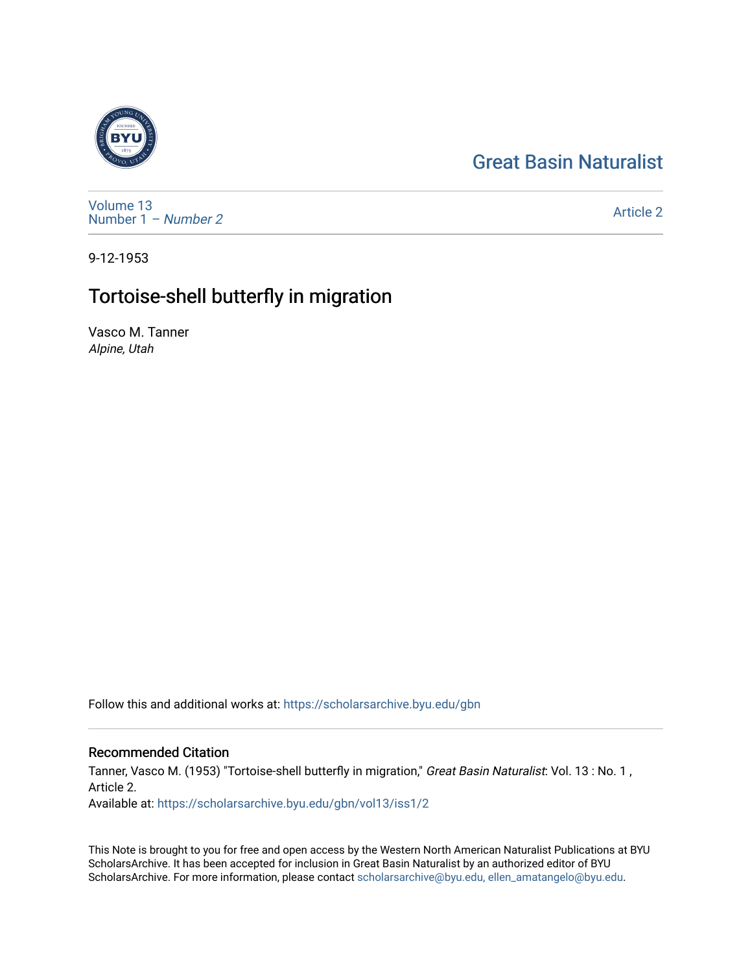## [Great Basin Naturalist](https://scholarsarchive.byu.edu/gbn)



[Volume 13](https://scholarsarchive.byu.edu/gbn/vol13) [Number 1](https://scholarsarchive.byu.edu/gbn/vol13/iss1) – Number 2

[Article 2](https://scholarsarchive.byu.edu/gbn/vol13/iss1/2) 

9-12-1953

## Tortoise-shell butterfly in migration

Vasco M. Tanner Alpine, Utah

Follow this and additional works at: [https://scholarsarchive.byu.edu/gbn](https://scholarsarchive.byu.edu/gbn?utm_source=scholarsarchive.byu.edu%2Fgbn%2Fvol13%2Fiss1%2F2&utm_medium=PDF&utm_campaign=PDFCoverPages) 

## Recommended Citation

Tanner, Vasco M. (1953) "Tortoise-shell butterfly in migration," Great Basin Naturalist: Vol. 13 : No. 1, Article 2. Available at: [https://scholarsarchive.byu.edu/gbn/vol13/iss1/2](https://scholarsarchive.byu.edu/gbn/vol13/iss1/2?utm_source=scholarsarchive.byu.edu%2Fgbn%2Fvol13%2Fiss1%2F2&utm_medium=PDF&utm_campaign=PDFCoverPages)

This Note is brought to you for free and open access by the Western North American Naturalist Publications at BYU ScholarsArchive. It has been accepted for inclusion in Great Basin Naturalist by an authorized editor of BYU ScholarsArchive. For more information, please contact [scholarsarchive@byu.edu, ellen\\_amatangelo@byu.edu.](mailto:scholarsarchive@byu.edu,%20ellen_amatangelo@byu.edu)